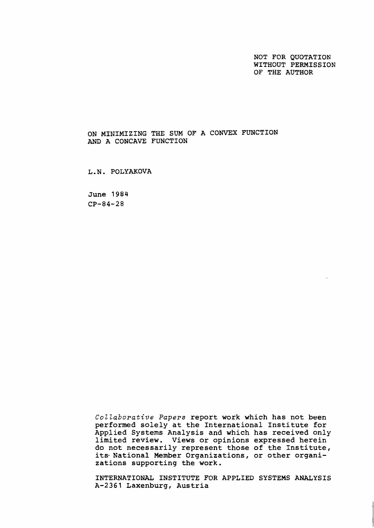NOT FOR QUOTATION WITHOUT PERMISSION OF THE AUTHOR

ON MINIMIZING THE SUM OF A CONVEX FUNCTION **AND** A CONCAVE FUNCTION

L,N, POLYAKOVA

June 1984 CP-84-28

> Collaborative Papers report work which has not been performed solely at the International Institute for Applied Systems Analysis and which has received only limited review, Views or opinions expressed herein do not necessarily represent those of the Institute, its National Member Organizations, or other organizations supporting the work,

> INTERNATIONAL INSTITUTE FOR APPLIED SYSTEMS ANALYSIS A-2361 Laxenburg, Austria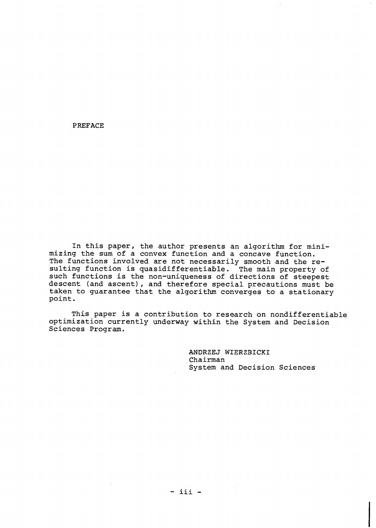PREFACE

In this paper, the author presents an algorithm for minimizing the sum of a convex function and a concave function. The functions involved are not necessarily smooth and the resulting function is quasidifferentiable. The main property of such functions is the non-uniqueness of directions of steepest descent (and ascent), and therefore special precautions must be taken to guarantee that the algorithm converges to a stationary point.

This paper is a contribution to research on nondifferentiable optimization currently underway within the System and Decision Sciences Program.

> ANDRZEJ WIERZBICXI Chairman System and Decision Sciences

 $-$  iii  $-$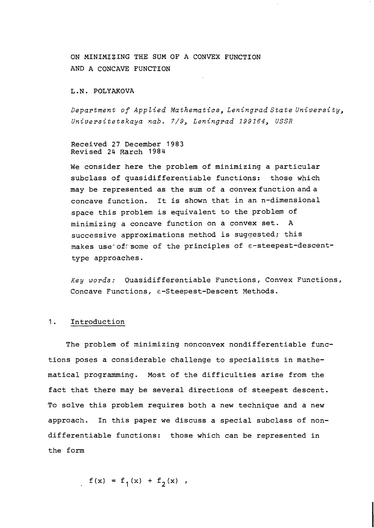ON MINIMIZING THE SUM OF A CONVEX FUNCTION AND A CONCAVE FUNCTION

#### L.N. POLYAKOVA

*Department of Applied Mathematics, Leningrad State University, Universitetskaya nab. 7/9, Leningrad 199164, USSR* 

Received 27 December 1983 Revised 24 Rarch 1984

We consider here the problem of minimizing a particular subclass of quasidifferentiable functions: those which may be represented as the sum of a convex function and a concave function. It is shown that in an n-dimensional space this problem is equivalent to the problem of minimizing a concave function on a convex set. A successive approximations method is suggested; this makes use-of'some of the principles of E-steepest-descenttype approaches.

*Key words:* Quasidifferentiable Functions, Convex Functions, Concave Functions, E-Steepest-Descent Methods.

## 1. Introduction

The problem of minimizing nonconvex nondifferentiable functions poses a considerable challenge to specialists in mathematical programming. Most of the difficulties arise from the fact that there may be several directions of steepest descent. To solve this problem requires both a new technique and a new approach. In this paper we discuss a special subclass of nondifferentiable functions: those which can be represented in the form

$$
f(x) = f_1(x) + f_2(x)
$$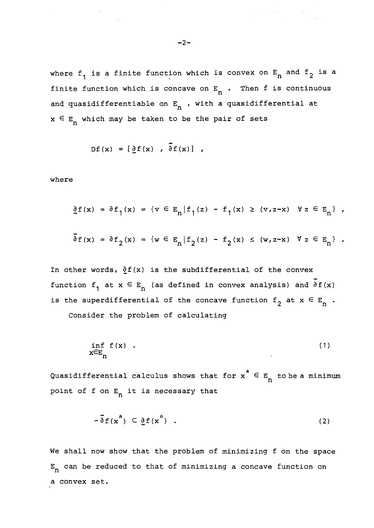where  $f_1$  is a finite function which is convex on  $E_n$  and  $f_2$  is a finite function which is concave on  $E_n$  . Then f is continuous and quasidifferentiable on  $E_n$  , with a quasidifferential at  $x \in E_n$  which may be taken to be the pair of sets

$$
Df(x) = [\partial f(x) , \overline{\partial} f(x) ],
$$

where

$$
\underline{\partial} f(x) = \partial f_1(x) = \{ v \in E_n | f_1(z) - f_1(x) \ge (v, z - x) \quad \forall z \in E_n \}
$$

$$
\delta f(x) = \delta f_2(x) = \{ w \in E_n | f_2(z) - f_2(x) \le (w, z-x) \quad \forall z \in E_n \} .
$$

In other words,  $\partial f(x)$  is the subdifferential of the convex function  $f_1$  at  $x \in E_n$  (as defined in convex analysis) and  $\overline{\partial} f(x)$ is the superdifferential of the concave function  $f_2$  at  $x \in E_n$ .

Consider the problem of calculating

$$
\inf_{x \in E_n} f(x) \quad . \tag{1}
$$

\* Quasidifferential calculus shows that for  $x^{\text{ }} \in E \atop n$  to be a minimum point of f on  $E_n$  it is necessary that

$$
-\bar{\delta} f(x^*) \subset \underline{\delta} f(x^*) \quad . \tag{2}
$$

We shall now show that the problem of minimizing f on the space  $E_n$  can be reduced to that of minimizing a concave function on a convex set.

an di Kabupatén Bandungan<br>Kabupatèn Propinsi Jawa Bandungan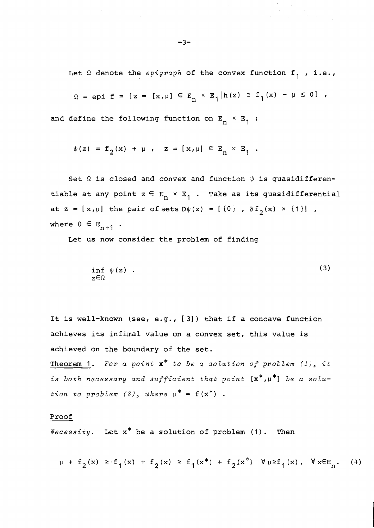Let  $\Omega$  denote the *epigraph* of the convex function  $f_1$ , i.e.,

$$
\Omega = epi \; f = \{ z = [x, \mu] \in E_n \times E_1 | h(z) \equiv f_1(x) - \mu \leq 0 \} ,
$$

and define the following function on  $E_n \times E_1$ :

$$
\psi(z) = f_2(x) + \mu
$$
,  $z = [x, \mu] \in E_n \times E_1$ .

Set  $\Omega$  is closed and convex and function  $\psi$  is quasidifferentiable at any point  $z \in E_n^+ \times E_1^+$  . Take as its quasidifferential at  $z = [x,\mu]$  the pair of sets  $D\psi(z) = [(0), \partial f(z)]$  **x**  $(1)]$  , where  $0 \in E_{n+1}$ .

Let us now consider the problem of finding

$$
\inf_{z \in \Omega} \psi(z) \quad . \tag{3}
$$

It is well-known (see, e.g., [ 31) that if a concave function achieves its infimal value on a convex set, this value is achieved on the boundary of the set.

Theorem 1. *For a point* x\* *to be a solution of problem (I), it*  is both necessary and sufficient that point  $[x^*, \mu^*]$  be a solu*tion to problem*  $(3)$ , where  $\mu^* = f(x^*)$ .

#### Proof

*Necessity.* Let x\* be a solution of problem (1) . Then

 $\mu \ + \ f_2(x) \ \geq \ f_1(x) \ + \ f_2(x) \ \geq \ f_1(x^*) \ + \ f_2(x^*) \ \ \forall \, \mu \geq f_1(x) \, , \ \ \forall \, x \in_{\mathbb{F}_n} . \eqno(4)$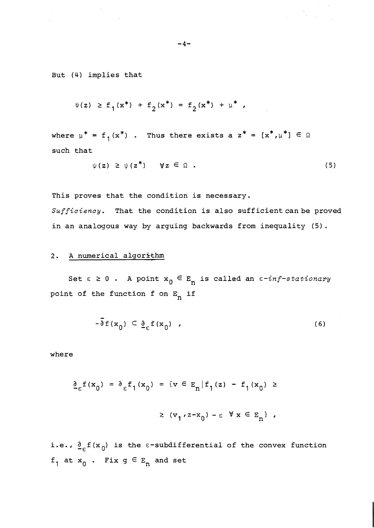But (4) implies that

$$
\psi(z) \geq f_1(x^*) + f_2(x^*) = f_2(x^*) + \mu^*,
$$

where  $\mu^* = f_1(x^*)$  . Thus there exists a  $z^* = [x^*, \mu^*] \in \Omega$ such that

$$
\psi(z) \geq \psi(z^*) \qquad \forall z \in \Omega . \qquad (5)
$$

a na matangan<br>Kabupatèn Tanggaling

This proves that the condition is necessary. Sufficiency. That the condition is also sufficient can be proved in an analogous way by arguing backwards from inequality (5).

# 2. A numerical algorithm

Set  $\epsilon \ge 0$ . A point  $x_0 \in E_n$  is called an  $\epsilon$ -inf-stationary point of the function f on  $E_n$  if

$$
-\overline{\partial} f(x_0) \subset \underline{\partial}_{\epsilon} f(x_0) \quad , \tag{6}
$$

where

$$
\begin{aligned} \frac{\partial}{\partial \varepsilon} f(x_0) &= \frac{\partial}{\partial \varepsilon} f_1(x_0) = \{ v \in E_n | f_1(z) - f_1(x_0) \geq 0 \\\\ &\geq (v_1, z - x_0) - \varepsilon \quad \forall \ x \in E_n \} \end{aligned}
$$

i.e.,  $\frac{\mathfrak{d}}{\mathsf{c}}\text{\sf f}(\mathsf{x}_0)$  is the  $\varepsilon$ -subdifferential of the convex function  $f_1$  at  $x_0$  . Fix  $g \in E_n$  and set

 $-4-$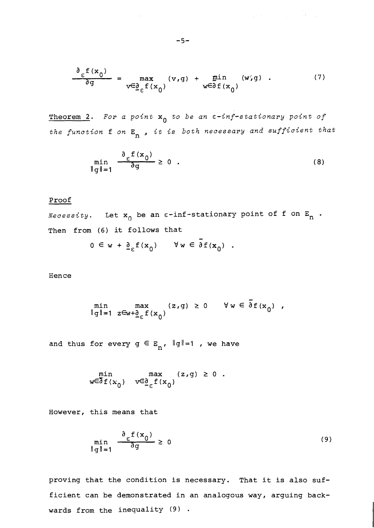$$
\frac{\partial_{\varepsilon} f(x_0)}{\partial g} = \max_{v \in \underline{\partial}_{\varepsilon} f(x_0)} (v, g) + \min_{w \in \partial f(x_0)} (w, g) . \tag{7}
$$

 $\mathcal{L}^{\mathcal{L}}(\mathcal{L}^{\mathcal{L}})$  and  $\mathcal{L}^{\mathcal{L}}(\mathcal{L}^{\mathcal{L}})$  and  $\mathcal{L}^{\mathcal{L}}(\mathcal{L}^{\mathcal{L}})$  and  $\mathcal{L}^{\mathcal{L}}(\mathcal{L}^{\mathcal{L}})$ 

Theorem 2. *For a point* xo *to be an E-inf-stationary point of the function* f *on* E~ , *it is both necessary and sufficient that* 

$$
\min_{\|g\|=1} \frac{\partial_{\epsilon} f(x_0)}{\partial g} \ge 0 \quad . \tag{8}
$$

# Proof

*Necessity*. Let  $x_0$  be an  $\varepsilon$ -inf-stationary point of f on  $E_n$ . Then from (6) it follows that

$$
0 \in w + \underline{\partial}_{\epsilon} f(x_0) \qquad \forall w \in \partial f(x_0)
$$

**Hence** 

min 
$$
\max
$$
  $(z,g) \ge 0$   $\forall w \in \overline{\partial} f(x_0)$ ,  
||g||=1  $z \in w + \underline{\partial}_f f(x_0)$ 

and thus for every  $g \in E_n$ ,  $\|g\|=1$  , we have

$$
\min_{w \in \delta f(x_0)} \max_{v \in \underline{\delta}_{\epsilon} f(x_0)} (z, g) \ge 0.
$$

However, this means that

$$
\min_{\|g\|=1} \frac{\partial_{\varepsilon} f(x_0)}{\partial g} \ge 0
$$
\n(9)

proving that the condition is necessary. That it is also sufficient can be demonstrated in an analogous way, arguing backwards from the inequality  $(9)$ .

$$
-5 -
$$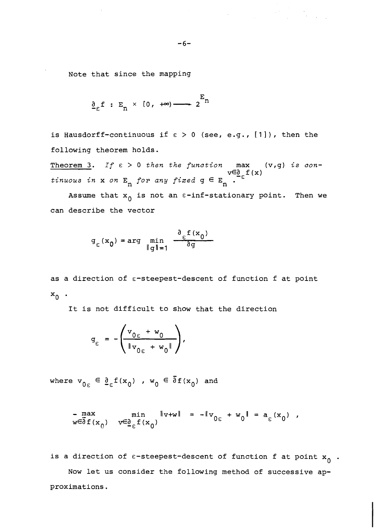Note that since the mapping

$$
\underline{\partial}_{\varepsilon} f : E_n \times [0, +\infty) \longrightarrow 2^{E_n}
$$

is Hausdorff-continuous if  $\epsilon > 0$  (see, e.g., [1]), then the following theorem holds.

Theorem 3. If E > 0 *then the function* max (v,g) *is con* $t$ *inuous in* **x** *on* **E**<sub>n</sub> *for any fixed*  $g \in E$ <sub>n</sub> .  $V \in \mathcal{E}$ <sub>1</sub>

Assume that  $x_0$  is not an  $\varepsilon$ -inf-stationary point. Then we can describe the vector

$$
g_{\varepsilon}(\mathbf{x}_0) = \arg\min_{\|\mathbf{g}\|=1} \frac{\partial_{\varepsilon} f(\mathbf{x}_0)}{\partial \mathbf{g}}
$$

as a direction of  $\varepsilon$ -steepest-descent of function f at point  $x_0$ .

It is not difficult to show that the direction

$$
g_{\varepsilon} = -\left(\frac{v_{0\varepsilon} + w_0}{\|v_{0\varepsilon} + w_0\|}\right),
$$

where  $v_{0\epsilon} \in \underline{\partial}_{\epsilon} f(x_0)$ ,  $w_0 \in \overline{\partial} f(x_0)$  and

$$
-\max_{w \in \partial f(x_0)} \min_{v \in \underline{\partial}_c f(x_0)} \|v + w\| = -\|v_{0c} + w_0\| = a_c(x_0) ,
$$

is a direction of  $\varepsilon$ -steepest-descent of function f at point  $x_{0}$  . Now let us consider the following method of successive approximations.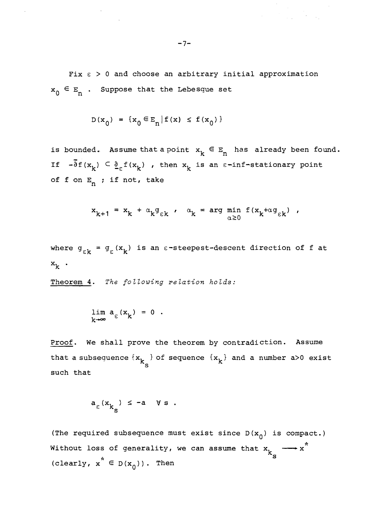Fix  $\epsilon$  > 0 and choose an arbitrary initial approximation  $x_0 \in E_n$  . Suppose that the Lebesque set

$$
D(x_0) = {x_0 \in E_n | f(x) \le f(x_0)}
$$

 $\mathcal{A}^{\mathcal{A}}$ 

is bounded. Assume that a point  $x_k \in E_n$  has already been found. If  $-\bar{\delta}f(x_k) \subset \underline{\delta}_{\epsilon}f(x_k)$ , then  $x_k$  is an  $\epsilon$ -inf-stationary point of f on  $E_n$  ; if not, take

$$
x_{k+1} = x_k + \alpha_k g_{\varepsilon k} , \quad \alpha_k = \arg \min_{\alpha \ge 0} f(x_k + \alpha g_{\varepsilon k}) ,
$$

where  $g_{\varepsilon k} = g_{\varepsilon}(x_k)$  is an  $\varepsilon$ -steepest-descent direction of f at  $x_k$ .

Theorem **4.** *The following relation holds:* 

$$
\lim_{k \to \infty} a_{\varepsilon}(x_k) = 0.
$$

Proof. We shall prove the theorem by contradiction. Assume that a subsequence  $\{x_{k}\}$  of sequence  $\{x_{k}\}$  and a number a>0 exist S such that

$$
a_{\varepsilon}(x_{k_{s}}) \leq -a \quad \forall s.
$$

(The required subsequence must exist since  $D(x_0)$  is compact.) \* Without loss of generality, we can assume that  $x^{\phantom{\dagger}}_{\nu}$  - $\kappa$ <sup>k</sup>  $\epsilon$   $\kappa$ <sup>k</sup>  $\kappa$ <sup>k</sup>  $\kappa$ <sup>k</sup>  $\kappa$ <sup>k</sup>  $\kappa$ <sup>k</sup>  $\kappa$ <sup>k</sup>  $\kappa$ <sup>k</sup>  $\kappa$ <sup>k</sup>  $\kappa$ (clearly,  $x^* \in D(x_0)$ ). Then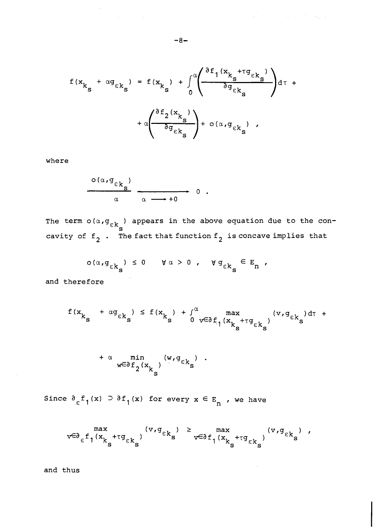$$
f(x_{k_{s}} + \alpha g_{\epsilon k_{s}}) = f(x_{k_{s}}) + \int_{0}^{\alpha} \left( \frac{\partial f_{1}(x_{k_{s}} + \tau g_{\epsilon k_{s}})}{\partial g_{\epsilon k_{s}}}\right) d\tau + \alpha \left( \frac{\partial f_{2}(x_{k_{s}})}{\partial g_{\epsilon k_{s}}}\right) + o(\alpha, g_{\epsilon k_{s}}),
$$

where

$$
\frac{\circ (\alpha, g_{\epsilon k}\})}{\alpha} \longrightarrow 0.
$$

The term  $o(\alpha, \sigma_{\varepsilon k}^{\prime})$  appears in the above equation due to the con-<br>cavity of  $f_2$ . The fact that function  $f_2$  is concave implies that

$$
\sigma(\alpha, g_{\varepsilon k_{\mathbf{S}}}) \leq 0 \quad \forall \alpha > 0 \quad \forall g_{\varepsilon k_{\mathbf{S}}} \in \mathbb{E}_{n} \; ,
$$

and therefore

$$
f(x_{k_{s}} + \alpha g_{\epsilon k_{s}}) \leq f(x_{k_{s}}) + \int_{0}^{\alpha} \max_{v \in \partial f_{1}(x_{k_{s}} + \tau g_{\epsilon k_{s}})} (v, g_{\epsilon k_{s}}) d\tau +
$$

$$
+\alpha \min_{w \in \partial f_2(x_k)} (w, g_{\varepsilon k}^{\varepsilon})
$$

Since  $\partial_{\epsilon} f_1(x) \supset \partial f_1(x)$  for every  $x \in E_n$ , we have

$$
\text{max}_{v \in \partial_{\epsilon} f_1(x_{k_s} + \tau g_{\epsilon k_s})} (\text{v}, \text{g}_{\epsilon k_s}) \geq \text{max}_{v \in \partial f_1(x_{k_s} + \tau g_{\epsilon k_s})} (\text{v}, \text{g}_{\epsilon k_s}) \text{ ,}
$$

and thus

 $\label{eq:2.1} \frac{1}{2}\sum_{i=1}^n\frac{1}{2}\sum_{j=1}^n\frac{1}{2}\sum_{j=1}^n\frac{1}{2}\sum_{j=1}^n\frac{1}{2}\sum_{j=1}^n\frac{1}{2}\sum_{j=1}^n\frac{1}{2}\sum_{j=1}^n\frac{1}{2}\sum_{j=1}^n\frac{1}{2}\sum_{j=1}^n\frac{1}{2}\sum_{j=1}^n\frac{1}{2}\sum_{j=1}^n\frac{1}{2}\sum_{j=1}^n\frac{1}{2}\sum_{j=1}^n\frac{1}{2}\sum_{j=1}^n\$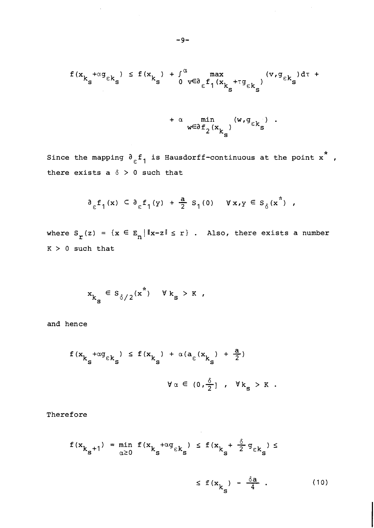$$
f(x_{k_{s}} + \alpha g_{\epsilon k_{s}}) \le f(x_{k_{s}}) + \int_{0}^{\alpha} \max_{v \in \partial_{\epsilon} f_{1}(x_{k_{s}} + \tau g_{\epsilon k_{s}})} (v, g_{\epsilon k_{s}}) d\tau +
$$

$$
+\alpha \min_{w \in \partial f_2(x_{k_s})} (w, g_{\epsilon k_s})
$$

Since the mapping  $\mathfrak{d} _{\varepsilon }\mathsf{f}_{1}$  is Hausdorff-continuous at the point  $\mathbf{x}^{*}$  , there exists a  $\delta > 0$  such that

$$
\partial_{\varepsilon} f_1(x) \, \subset \, \partial_{\varepsilon} f_1(y) \, + \, \frac{a}{2} \, S_1(0) \, \quad \forall \, x, y \, \in \, S_\delta(x^*) \, ,
$$

where  $S_r(z) = \{x \in E_n | ||x-z|| \le r\}$ . Also, there exists a number **K** > 0 such that

$$
x_{k_{s}} \in s_{\delta/2}(x^*) \quad \forall k_{s} > K ,
$$

and hence

$$
f(x_{k_{S}} + \alpha g_{\epsilon k_{S}}) \le f(x_{k_{S}}) + \alpha (a_{\epsilon}(x_{k_{S}}) + \frac{a}{2})
$$
  

$$
\forall \alpha \in (0, \frac{\delta}{2}], \quad \forall k_{S} > K.
$$

Therefore

$$
f(x_{k_{s}+1}) = \min_{\alpha \ge 0} f(x_{k_{s}+ \alpha g} \epsilon k_{s}) \le f(x_{k_{s}+ \frac{\delta}{2} g} \epsilon k_{s}) \le
$$

$$
\leq f(x_{k_{\rm s}}) - \frac{\delta a}{4} \quad . \tag{10}
$$